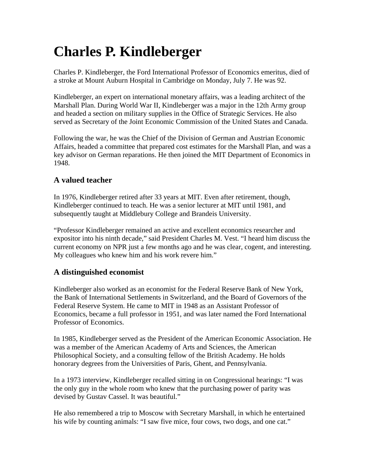## **Charles P. Kindleberger**

Charles P. Kindleberger, the Ford International Professor of Economics emeritus, died of a stroke at Mount Auburn Hospital in Cambridge on Monday, July 7. He was 92.

Kindleberger, an expert on international monetary affairs, was a leading architect of the Marshall Plan. During World War II, Kindleberger was a major in the 12th Army group and headed a section on military supplies in the Office of Strategic Services. He also served as Secretary of the Joint Economic Commission of the United States and Canada.

Following the war, he was the Chief of the Division of German and Austrian Economic Affairs, headed a committee that prepared cost estimates for the Marshall Plan, and was a key advisor on German reparations. He then joined the MIT Department of Economics in 1948.

## **A valued teacher**

In 1976, Kindleberger retired after 33 years at MIT. Even after retirement, though, Kindleberger continued to teach. He was a senior lecturer at MIT until 1981, and subsequently taught at Middlebury College and Brandeis University.

"Professor Kindleberger remained an active and excellent economics researcher and expositor into his ninth decade," said President Charles M. Vest. "I heard him discuss the current economy on NPR just a few months ago and he was clear, cogent, and interesting. My colleagues who knew him and his work revere him."

## **A distinguished economist**

Kindleberger also worked as an economist for the Federal Reserve Bank of New York, the Bank of International Settlements in Switzerland, and the Board of Governors of the Federal Reserve System. He came to MIT in 1948 as an Assistant Professor of Economics, became a full professor in 1951, and was later named the Ford International Professor of Economics.

In 1985, Kindleberger served as the President of the American Economic Association. He was a member of the American Academy of Arts and Sciences, the American Philosophical Society, and a consulting fellow of the British Academy. He holds honorary degrees from the Universities of Paris, Ghent, and Pennsylvania.

In a 1973 interview, Kindleberger recalled sitting in on Congressional hearings: "I was the only guy in the whole room who knew that the purchasing power of parity was devised by Gustav Cassel. It was beautiful."

He also remembered a trip to Moscow with Secretary Marshall, in which he entertained his wife by counting animals: "I saw five mice, four cows, two dogs, and one cat."